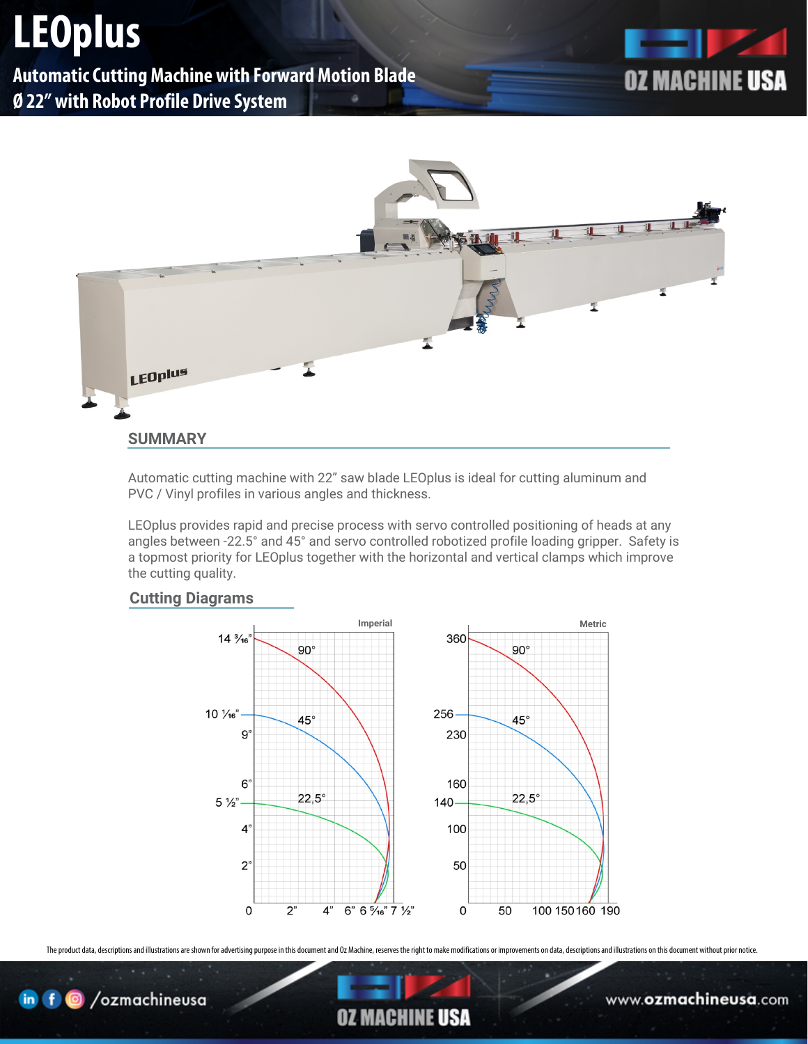## **LEOplus**

**Automatic Cutting Machine with Forward Motion Blade**

## **Ø 22" with Robot Profile Drive System**





Automatic cutting machine with 22" saw blade LEOplus is ideal for cutting aluminum and PVC / Vinyl profiles in various angles and thickness.

LEOplus provides rapid and precise process with servo controlled positioning of heads at any angles between -22.5° and 45° and servo controlled robotized profile loading gripper. Safety is a topmost priority for LEOplus together with the horizontal and vertical clamps which improve the cutting quality.



## **Cutting Diagrams**

The product data, descriptions and illustrations are shown for advertising purpose in this document and Oz Machine, reserves the right to make modifications or improvements on data, descriptions and illustrations on this d

**OZ MACHINE USA** 

www.ozmachineusa.com